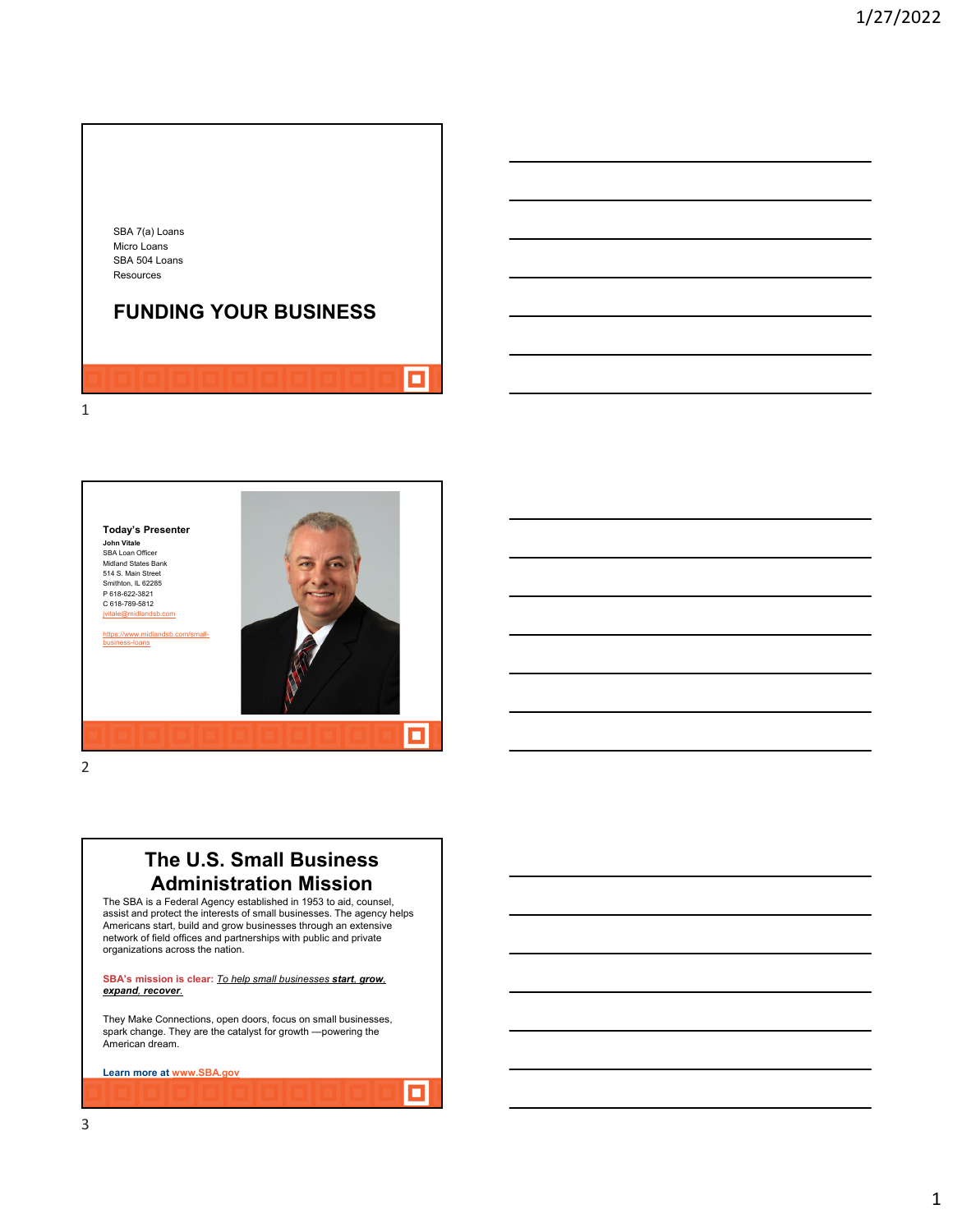



2

### **The U.S. Small Business Administration Mission**

The SBA is a Federal Agency established in 1953 to aid, counsel, assist and protect the interests of small businesses. The agency helps Americans start, build and grow businesses through an extensive network of field offices and partnerships with public and private organizations across the nation.

**SBA's mission is clear:** *To help small businesses start, grow, expand, recover.*

They Make Connections, open doors, focus on small businesses, spark change. They are the catalyst for growth —powering the American dream.

о

**Learn more at www.SBA.gov**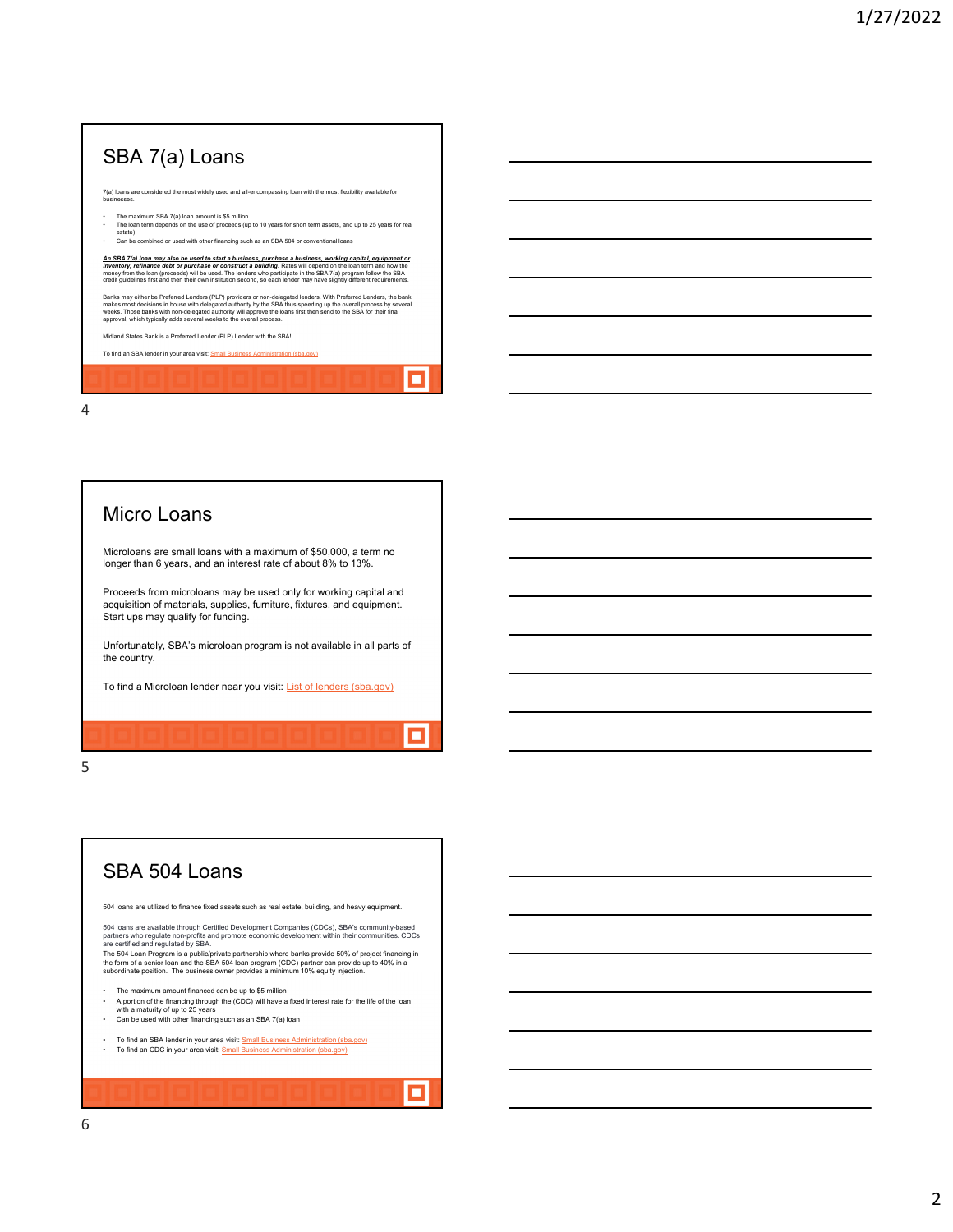## SBA 7(a) Loans 7(a) loans are considered the most widely used and all-encompassing loan with the most flexibility available for businesses. • The maximum SBA 7(a) loan amount is \$5 million • The loan term depends on the use of proceeds (up to 10 years for short term assets, and up to 25 years for real estate) • Can be combined or used with other financing such as an SBA 504 or conventional loans An SBA 7(a) loan may also be used to start a business, purchase a business, working capital, equipment or<br>inventory, refinance debt or purchase or constructs building. Rates will depend on the loan term and how the<br>money f Banks may either be Freferred Lenders (PLP) providers or non-delegated lenders. With Preferred Lenders, the bank<br>makes most decisions in house with delegated authority by the SBA thus speeding up the overall process by sev Midland States Bank is a Preferred Lender (PLP) Lender with the SBA! To find an SBA lender in your area visit: **Small Business Administration (sba.gov)** Ξ

4

#### Micro Loans

Microloans are small loans with a maximum of \$50,000, a term no longer than 6 years, and an interest rate of about 8% to 13%.

Proceeds from microloans may be used only for working capital and acquisition of materials, supplies, furniture, fixtures, and equipment. Start ups may qualify for funding.

Unfortunately, SBA's microloan program is not available in all parts of the country.

о

π

To find a Microloan lender near you visit: List of lenders (sba.gov)

5

# SBA 504 Loans

504 loans are utilized to finance fixed assets such as real estate, building, and heavy equipment.

504 loans are available through Certified Development Companies (CDCs), SBA's community-based<br>partners who regulate non-profits and promote economic development within their communities. CDCs<br>are certified and regulated by

- The maximum amount financed can be up to \$5 million
- A portion of the financing through the (CDC) will have a fixed interest rate for the life of the loan<br>• with a maturity of up to 25 years<br>• Can be used with other financing such as an SBA 7(a) loan
- 
- To find an SBA lender in your area visit: <u>Small Business Administration (sba.gov)</u><br>• To find an CDC in your area visit: <u>Small Business Administration (sba.gov)</u>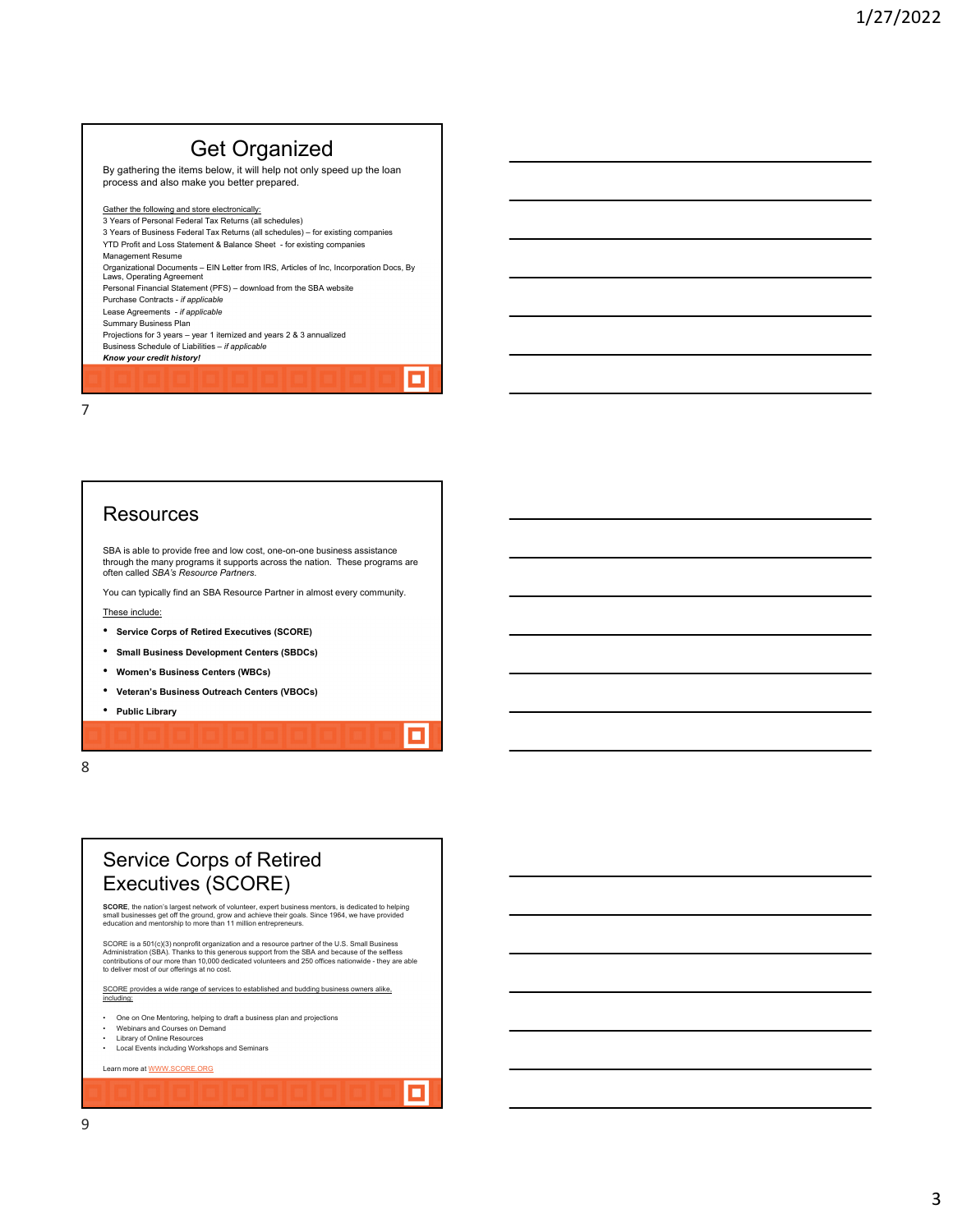## Get Organized

By gathering the items below, it will help not only speed up the loan process and also make you better prepared.

Gather the following and store electronically: 3 Years of Personal Federal Tax Returns (all schedules)

3 Years of Business Federal Tax Returns (all schedules) – for existing companies YTD Profit and Loss Statement & Balance Sheet - for existing companies Management Resume Organizational Documents – EIN Letter from IRS, Articles of Inc, Incorporation Docs, By

Laws, Operating Agreement Personal Financial Statement (PFS) – download from the SBA website

 $\blacksquare$ 

о

о

Purchase Contracts - *if applicable*

Lease Agreements - *if applicable* Summary Business Plan

Projections for 3 years – year 1 itemized and years 2 & 3 annualized Business Schedule of Liabilities – *if applicable*

*Know your credit history!*

7

#### **Resources**

SBA is able to provide free and low cost, one-on-one business assistance through the many programs it supports across the nation. These programs are often called *SBA's Resource Partners*.

You can typically find an SBA Resource Partner in almost every community. These include:

- **Service Corps of Retired Executives (SCORE)**
- **Small Business Development Centers (SBDCs)**
- **Women's Business Centers (WBCs)**
- **Veteran's Business Outreach Centers (VBOCs)**

• **Public Library**

8

#### Service Corps of Retired Executives (SCORE)

**SCORE**, the nation's largest network of volunteer, expert business mentors, is dedicated to helping<br>small businesses get off the ground, grow and achieve their goals. Since 1964, we have provided<br>education and mentorship

SCORE is a 501(c)(3) nonprofit organization and a resource partner of the U.S. Small Business<br>Administration (SBA). Thanks to this generous support from the SBA and because of the selfless<br>contributions of our rofferings a

SCORE provides a wide range of services to established and budding business owners alike, including:

- One on One Mentoring, helping to draft a business plan and projection
- Webinars and Courses on Demand
- 
- Library of Online Resources Local Events including Workshops and Seminars

Learn more at WWW.SCORE.ORG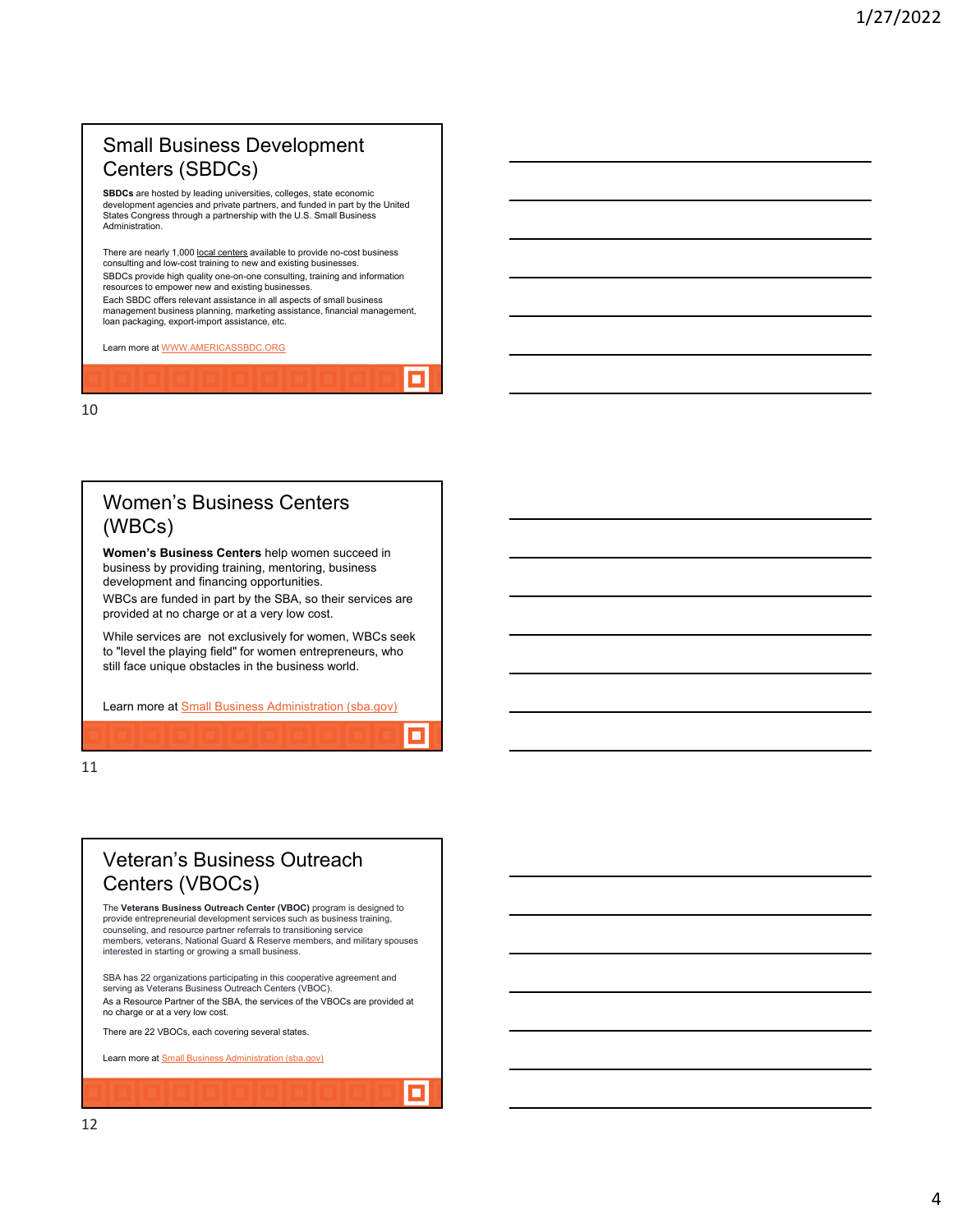#### Small Business Development Centers (SBDCs)

**SBDCs** are hosted by leading universities, colleges, state economic development agencies and private partners, and funded in part by the United States Congress through a partnership with the U.S. Small Business Administration.

There are nearly 1,000 <u>local centers</u> available to provide no-cost business<br>consulting and low-cost training to new and existing businesses. SBDCs provide high quality one-on-one consulting, training and information resources to empower new and existing businesses. Each SBDC offers relevant assistance in all aspects of small business

management business planning, marketing assistance, financial management, loan packaging, export-import assistance, etc.

п

о

о

Learn more at WWW.AMERICASSBDC.ORG

10

#### Women's Business Centers (WBCs)

**Women's Business Centers** help women succeed in business by providing training, mentoring, business development and financing opportunities.

WBCs are funded in part by the SBA, so their services are provided at no charge or at a very low cost.

While services are not exclusively for women, WBCs seek to "level the playing field" for women entrepreneurs, who still face unique obstacles in the business world.

Learn more at Small Business Administration (sba.gov)

11

## Veteran's Business Outreach Centers (VBOCs)

The **Veterans Business Outreach Center (VBOC)** program is designed to provide entrepreneurial development services such as business training, counseling, and resource partner referrals to transitioning service members, veterans, National Guard & Reserve members, and military spouses interested in starting or growing a small business.

SBA has 22 organizations participating in this cooperative agreement and serving as Veterans Business Outreach Centers (VBOC). As a Resource Partner of the SBA, the services of the VBOCs are provided at no charge or at a very low cost.

There are 22 VBOCs, each covering several states.

Learn more at **Small Business Administration (sba.gov)**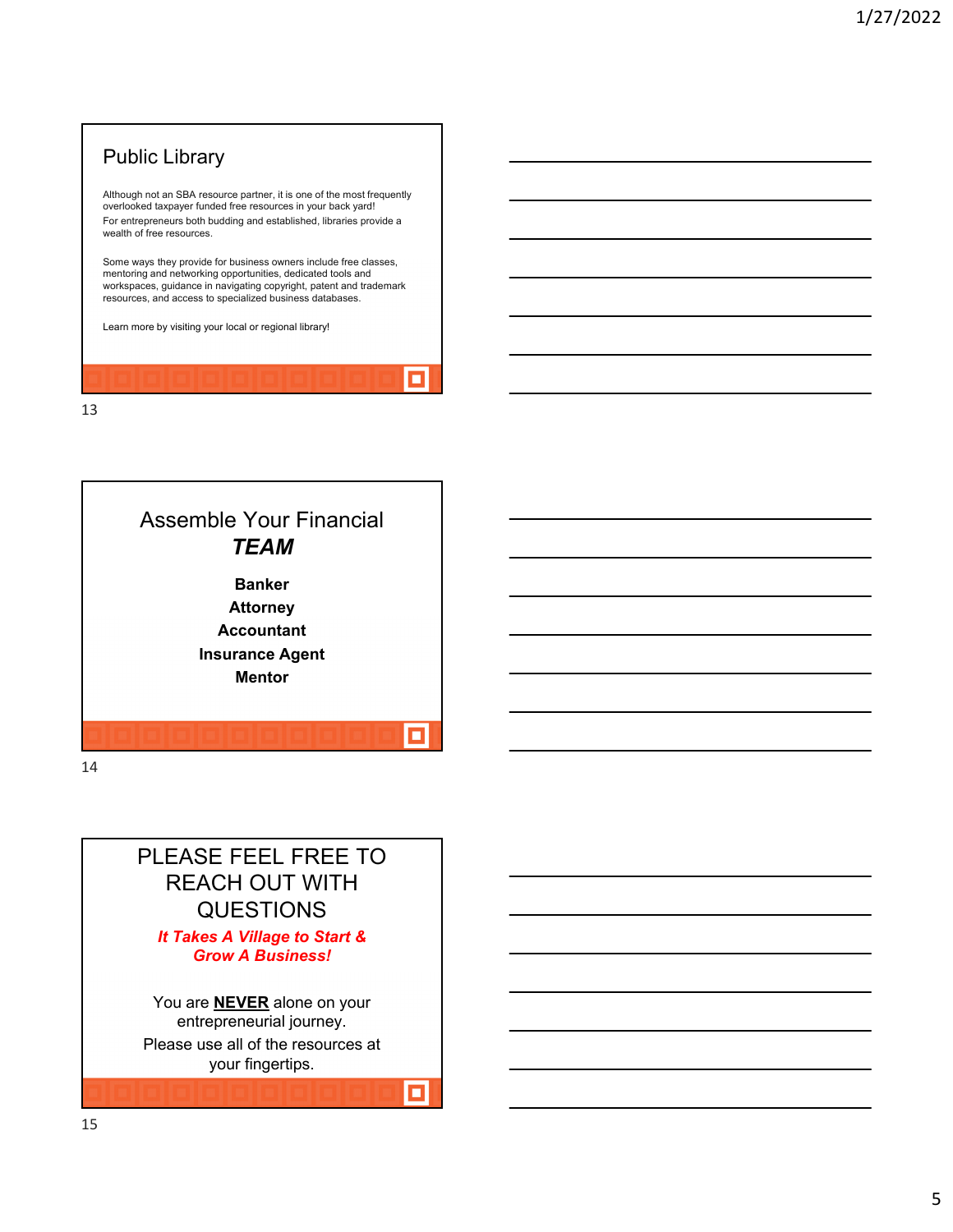## Public Library

Although not an SBA resource partner, it is one of the most frequently overlooked taxpayer funded free resources in your back yard! For entrepreneurs both budding and established, libraries provide a wealth of free resources.

Some ways they provide for business owners include free classes, mentoring and networking opportunities, dedicated tools and workspaces, guidance in navigating copyright, patent and trademark resources, and access to specialized business databases.

о

о

Learn more by visiting your local or regional library!

13



14

#### PLEASE FEEL FREE TO REACH OUT WITH QUESTIONS *It Takes A Village to Start & Grow A Business!*

You are **NEVER** alone on your entrepreneurial journey. Please use all of the resources at your fingertips.